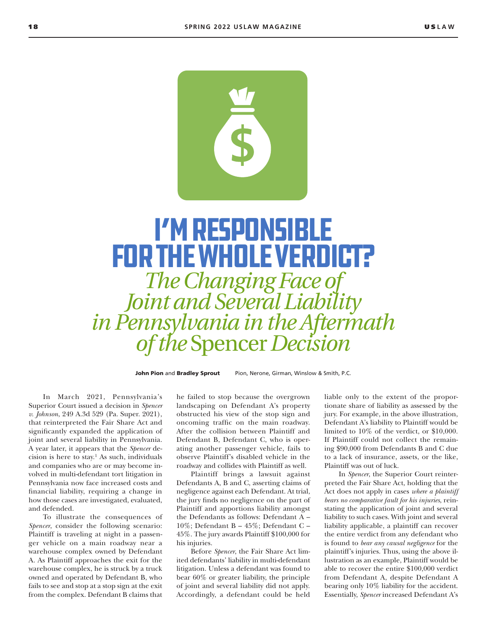

# I'm Responsible for the Whole Verdict?

*The Changing Face of Joint and Several Liability in Pennsylvania in the Aftermath of the* Spencer *Decision*

John Pion and Bradley Sprout Pion, Nerone, Girman, Winslow & Smith, P.C.

In March 2021, Pennsylvania's Superior Court issued a decision in *Spencer v. Johnson*, 249 A.3d 529 (Pa. Super. 2021), that reinterpreted the Fair Share Act and significantly expanded the application of joint and several liability in Pennsylvania. A year later, it appears that the *Spencer* de $cision$  is here to stay.<sup>1</sup> As such, individuals and companies who are or may become involved in multi-defendant tort litigation in Pennsylvania now face increased costs and financial liability, requiring a change in how those cases are investigated, evaluated, and defended.

To illustrate the consequences of *Spencer*, consider the following scenario: Plaintiff is traveling at night in a passenger vehicle on a main roadway near a warehouse complex owned by Defendant A. As Plaintiff approaches the exit for the warehouse complex, he is struck by a truck owned and operated by Defendant B, who fails to see and stop at a stop sign at the exit from the complex. Defendant B claims that

he failed to stop because the overgrown landscaping on Defendant A's property obstructed his view of the stop sign and oncoming traffic on the main roadway. After the collision between Plaintiff and Defendant B, Defendant C, who is operating another passenger vehicle, fails to observe Plaintiff's disabled vehicle in the roadway and collides with Plaintiff as well.

Plaintiff brings a lawsuit against Defendants A, B and C, asserting claims of negligence against each Defendant. At trial, the jury finds no negligence on the part of Plaintiff and apportions liability amongst the Defendants as follows: Defendant A – 10%; Defendant B – 45%; Defendant C – 45%. The jury awards Plaintiff \$100,000 for his injuries.

Before *Spencer*, the Fair Share Act limited defendants' liability in multi-defendant litigation. Unless a defendant was found to bear 60% or greater liability, the principle of joint and several liability did not apply. Accordingly, a defendant could be held

liable only to the extent of the proportionate share of liability as assessed by the jury. For example, in the above illustration, Defendant A's liability to Plaintiff would be limited to 10% of the verdict, or \$10,000. If Plaintiff could not collect the remaining \$90,000 from Defendants B and C due to a lack of insurance, assets, or the like, Plaintiff was out of luck.

In *Spencer*, the Superior Court reinterpreted the Fair Share Act, holding that the Act does not apply in cases *where a plaintiff bears no comparative fault for his injuries*, reinstating the application of joint and several liability to such cases. With joint and several liability applicable, a plaintiff can recover the entire verdict from any defendant who is found to *bear any causal negligence* for the plaintiff's injuries. Thus, using the above illustration as an example, Plaintiff would be able to recover the entire \$100,000 verdict from Defendant A, despite Defendant A bearing only 10% liability for the accident. Essentially, *Spencer* increased Defendant A's